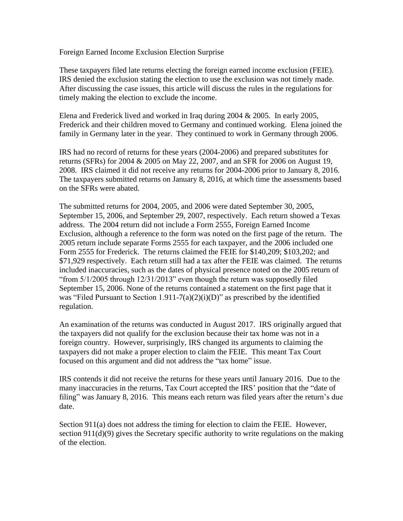Foreign Earned Income Exclusion Election Surprise

These taxpayers filed late returns electing the foreign earned income exclusion (FEIE). IRS denied the exclusion stating the election to use the exclusion was not timely made. After discussing the case issues, this article will discuss the rules in the regulations for timely making the election to exclude the income.

Elena and Frederick lived and worked in Iraq during 2004 & 2005. In early 2005, Frederick and their children moved to Germany and continued working. Elena joined the family in Germany later in the year. They continued to work in Germany through 2006.

IRS had no record of returns for these years (2004-2006) and prepared substitutes for returns (SFRs) for 2004 & 2005 on May 22, 2007, and an SFR for 2006 on August 19, 2008. IRS claimed it did not receive any returns for 2004-2006 prior to January 8, 2016. The taxpayers submitted returns on January 8, 2016, at which time the assessments based on the SFRs were abated.

The submitted returns for 2004, 2005, and 2006 were dated September 30, 2005, September 15, 2006, and September 29, 2007, respectively. Each return showed a Texas address. The 2004 return did not include a Form 2555, Foreign Earned Income Exclusion, although a reference to the form was noted on the first page of the return. The 2005 return include separate Forms 2555 for each taxpayer, and the 2006 included one Form 2555 for Frederick. The returns claimed the FEIE for \$140,209; \$103,202; and \$71,929 respectively. Each return still had a tax after the FEIE was claimed. The returns included inaccuracies, such as the dates of physical presence noted on the 2005 return of "from 5/1/2005 through 12/31/2013" even though the return was supposedly filed September 15, 2006. None of the returns contained a statement on the first page that it was "Filed Pursuant to Section 1.911-7(a)(2)(i)(D)" as prescribed by the identified regulation.

An examination of the returns was conducted in August 2017. IRS originally argued that the taxpayers did not qualify for the exclusion because their tax home was not in a foreign country. However, surprisingly, IRS changed its arguments to claiming the taxpayers did not make a proper election to claim the FEIE. This meant Tax Court focused on this argument and did not address the "tax home" issue.

IRS contends it did not receive the returns for these years until January 2016. Due to the many inaccuracies in the returns, Tax Court accepted the IRS' position that the "date of filing" was January 8, 2016. This means each return was filed years after the return's due date.

Section 911(a) does not address the timing for election to claim the FEIE. However, section  $911(d)(9)$  gives the Secretary specific authority to write regulations on the making of the election.